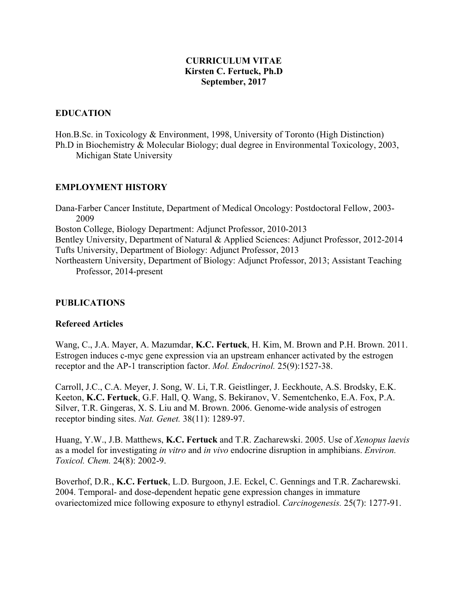#### **CURRICULUM VITAE Kirsten C. Fertuck, Ph.D September, 2017**

#### **EDUCATION**

Hon.B.Sc. in Toxicology & Environment, 1998, University of Toronto (High Distinction) Ph.D in Biochemistry & Molecular Biology; dual degree in Environmental Toxicology, 2003, Michigan State University

### **EMPLOYMENT HISTORY**

Dana-Farber Cancer Institute, Department of Medical Oncology: Postdoctoral Fellow, 2003- 2009 Boston College, Biology Department: Adjunct Professor, 2010-2013 Bentley University, Department of Natural & Applied Sciences: Adjunct Professor, 2012-2014 Tufts University, Department of Biology: Adjunct Professor, 2013 Northeastern University, Department of Biology: Adjunct Professor, 2013; Assistant Teaching Professor, 2014-present

#### **PUBLICATIONS**

#### **Refereed Articles**

Wang, C., J.A. Mayer, A. Mazumdar, **K.C. Fertuck**, H. Kim, M. Brown and P.H. Brown. 2011. Estrogen induces c-myc gene expression via an upstream enhancer activated by the estrogen receptor and the AP-1 transcription factor. *Mol. Endocrinol.* 25(9):1527-38.

Carroll, J.C., C.A. Meyer, J. Song, W. Li, T.R. Geistlinger, J. Eeckhoute, A.S. Brodsky, E.K. Keeton, **K.C. Fertuck**, G.F. Hall, Q. Wang, S. Bekiranov, V. Sementchenko, E.A. Fox, P.A. Silver, T.R. Gingeras, X. S. Liu and M. Brown. 2006. Genome-wide analysis of estrogen receptor binding sites. *Nat. Genet.* 38(11): 1289-97.

Huang, Y.W., J.B. Matthews, **K.C. Fertuck** and T.R. Zacharewski. 2005. Use of *Xenopus laevis* as a model for investigating *in vitro* and *in vivo* endocrine disruption in amphibians. *Environ. Toxicol. Chem.* 24(8): 2002-9.

Boverhof, D.R., **K.C. Fertuck**, L.D. Burgoon, J.E. Eckel, C. Gennings and T.R. Zacharewski. 2004. Temporal- and dose-dependent hepatic gene expression changes in immature ovariectomized mice following exposure to ethynyl estradiol. *Carcinogenesis.* 25(7): 1277-91.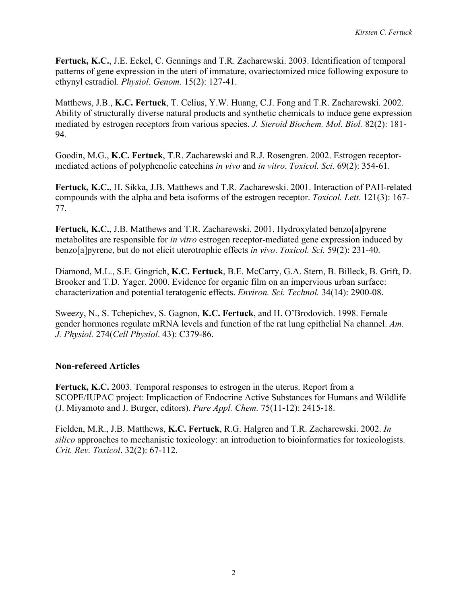**Fertuck, K.C.**, J.E. Eckel, C. Gennings and T.R. Zacharewski. 2003. Identification of temporal patterns of gene expression in the uteri of immature, ovariectomized mice following exposure to ethynyl estradiol. *Physiol. Genom.* 15(2): 127-41.

Matthews, J.B., **K.C. Fertuck**, T. Celius, Y.W. Huang, C.J. Fong and T.R. Zacharewski. 2002. Ability of structurally diverse natural products and synthetic chemicals to induce gene expression mediated by estrogen receptors from various species. *J. Steroid Biochem. Mol. Biol.* 82(2): 181- 94.

Goodin, M.G., **K.C. Fertuck**, T.R. Zacharewski and R.J. Rosengren. 2002. Estrogen receptormediated actions of polyphenolic catechins *in vivo* and *in vitro*. *Toxicol. Sci.* 69(2): 354-61.

**Fertuck, K.C.**, H. Sikka, J.B. Matthews and T.R. Zacharewski. 2001. Interaction of PAH-related compounds with the alpha and beta isoforms of the estrogen receptor. *Toxicol. Lett*. 121(3): 167- 77.

**Fertuck, K.C.**, J.B. Matthews and T.R. Zacharewski. 2001. Hydroxylated benzo[a]pyrene metabolites are responsible for *in vitro* estrogen receptor-mediated gene expression induced by benzo[a]pyrene, but do not elicit uterotrophic effects *in vivo*. *Toxicol. Sci.* 59(2): 231-40.

Diamond, M.L., S.E. Gingrich, **K.C. Fertuck**, B.E. McCarry, G.A. Stern, B. Billeck, B. Grift, D. Brooker and T.D. Yager. 2000. Evidence for organic film on an impervious urban surface: characterization and potential teratogenic effects. *Environ. Sci. Technol.* 34(14): 2900-08.

Sweezy, N., S. Tchepichev, S. Gagnon, **K.C. Fertuck**, and H. O'Brodovich. 1998. Female gender hormones regulate mRNA levels and function of the rat lung epithelial Na channel. *Am. J. Physiol.* 274(*Cell Physiol*. 43): C379-86.

# **Non-refereed Articles**

**Fertuck, K.C.** 2003. Temporal responses to estrogen in the uterus. Report from a SCOPE/IUPAC project: Implicaction of Endocrine Active Substances for Humans and Wildlife (J. Miyamoto and J. Burger, editors). *Pure Appl. Chem.* 75(11-12): 2415-18.

Fielden, M.R., J.B. Matthews, **K.C. Fertuck**, R.G. Halgren and T.R. Zacharewski. 2002. *In silico* approaches to mechanistic toxicology: an introduction to bioinformatics for toxicologists. *Crit. Rev. Toxicol*. 32(2): 67-112.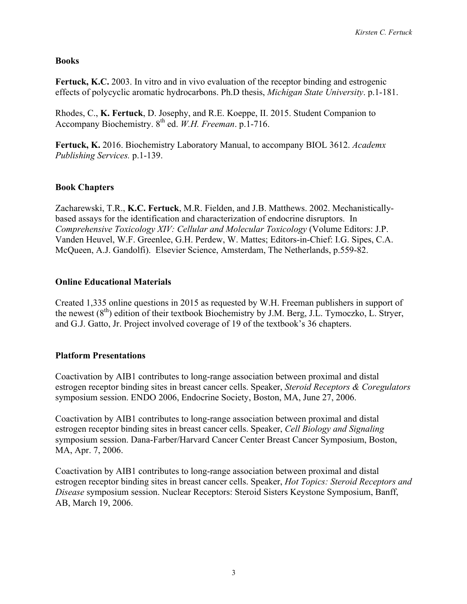#### **Books**

Fertuck, K.C. 2003. In vitro and in vivo evaluation of the receptor binding and estrogenic effects of polycyclic aromatic hydrocarbons. Ph.D thesis, *Michigan State University*. p.1-181.

Rhodes, C., **K. Fertuck**, D. Josephy, and R.E. Koeppe, II. 2015. Student Companion to Accompany Biochemistry. 8th ed. *W.H. Freeman*. p.1-716.

**Fertuck, K.** 2016. Biochemistry Laboratory Manual, to accompany BIOL 3612. *Academx Publishing Services.* p.1-139.

# **Book Chapters**

Zacharewski, T.R., **K.C. Fertuck**, M.R. Fielden, and J.B. Matthews. 2002. Mechanisticallybased assays for the identification and characterization of endocrine disruptors. In *Comprehensive Toxicology XIV: Cellular and Molecular Toxicology* (Volume Editors: J.P. Vanden Heuvel, W.F. Greenlee, G.H. Perdew, W. Mattes; Editors-in-Chief: I.G. Sipes, C.A. McQueen, A.J. Gandolfi). Elsevier Science, Amsterdam, The Netherlands, p.559-82.

### **Online Educational Materials**

Created 1,335 online questions in 2015 as requested by W.H. Freeman publishers in support of the newest  $(8<sup>th</sup>)$  edition of their textbook Biochemistry by J.M. Berg, J.L. Tymoczko, L. Stryer, and G.J. Gatto, Jr. Project involved coverage of 19 of the textbook's 36 chapters.

### **Platform Presentations**

Coactivation by AIB1 contributes to long-range association between proximal and distal estrogen receptor binding sites in breast cancer cells. Speaker, *Steroid Receptors & Coregulators* symposium session. ENDO 2006, Endocrine Society, Boston, MA, June 27, 2006.

Coactivation by AIB1 contributes to long-range association between proximal and distal estrogen receptor binding sites in breast cancer cells. Speaker, *Cell Biology and Signaling*  symposium session. Dana-Farber/Harvard Cancer Center Breast Cancer Symposium, Boston, MA, Apr. 7, 2006.

Coactivation by AIB1 contributes to long-range association between proximal and distal estrogen receptor binding sites in breast cancer cells. Speaker, *Hot Topics: Steroid Receptors and Disease* symposium session. Nuclear Receptors: Steroid Sisters Keystone Symposium, Banff, AB, March 19, 2006.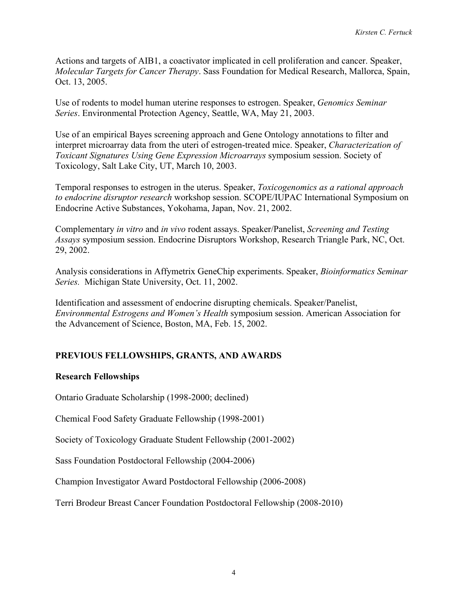Actions and targets of AIB1, a coactivator implicated in cell proliferation and cancer. Speaker, *Molecular Targets for Cancer Therapy*. Sass Foundation for Medical Research, Mallorca, Spain, Oct. 13, 2005.

Use of rodents to model human uterine responses to estrogen. Speaker, *Genomics Seminar Series*. Environmental Protection Agency, Seattle, WA, May 21, 2003.

Use of an empirical Bayes screening approach and Gene Ontology annotations to filter and interpret microarray data from the uteri of estrogen-treated mice. Speaker, *Characterization of Toxicant Signatures Using Gene Expression Microarrays* symposium session. Society of Toxicology, Salt Lake City, UT, March 10, 2003.

Temporal responses to estrogen in the uterus. Speaker, *Toxicogenomics as a rational approach to endocrine disruptor research* workshop session. SCOPE/IUPAC International Symposium on Endocrine Active Substances, Yokohama, Japan, Nov. 21, 2002.

Complementary *in vitro* and *in vivo* rodent assays. Speaker/Panelist, *Screening and Testing Assays* symposium session. Endocrine Disruptors Workshop, Research Triangle Park, NC, Oct. 29, 2002.

Analysis considerations in Affymetrix GeneChip experiments. Speaker, *Bioinformatics Seminar Series.* Michigan State University, Oct. 11, 2002.

Identification and assessment of endocrine disrupting chemicals. Speaker/Panelist, *Environmental Estrogens and Women's Health* symposium session. American Association for the Advancement of Science, Boston, MA, Feb. 15, 2002.

# **PREVIOUS FELLOWSHIPS, GRANTS, AND AWARDS**

### **Research Fellowships**

Ontario Graduate Scholarship (1998-2000; declined)

Chemical Food Safety Graduate Fellowship (1998-2001)

Society of Toxicology Graduate Student Fellowship (2001-2002)

Sass Foundation Postdoctoral Fellowship (2004-2006)

Champion Investigator Award Postdoctoral Fellowship (2006-2008)

Terri Brodeur Breast Cancer Foundation Postdoctoral Fellowship (2008-2010)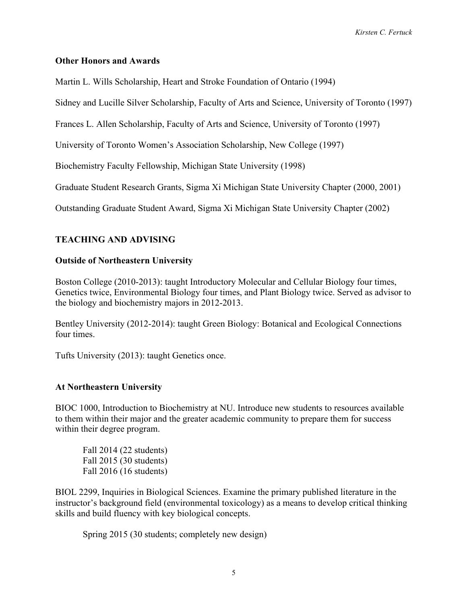#### **Other Honors and Awards**

Martin L. Wills Scholarship, Heart and Stroke Foundation of Ontario (1994)

Sidney and Lucille Silver Scholarship, Faculty of Arts and Science, University of Toronto (1997)

Frances L. Allen Scholarship, Faculty of Arts and Science, University of Toronto (1997)

University of Toronto Women's Association Scholarship, New College (1997)

Biochemistry Faculty Fellowship, Michigan State University (1998)

Graduate Student Research Grants, Sigma Xi Michigan State University Chapter (2000, 2001)

Outstanding Graduate Student Award, Sigma Xi Michigan State University Chapter (2002)

### **TEACHING AND ADVISING**

#### **Outside of Northeastern University**

Boston College (2010-2013): taught Introductory Molecular and Cellular Biology four times, Genetics twice, Environmental Biology four times, and Plant Biology twice. Served as advisor to the biology and biochemistry majors in 2012-2013.

Bentley University (2012-2014): taught Green Biology: Botanical and Ecological Connections four times.

Tufts University (2013): taught Genetics once.

### **At Northeastern University**

BIOC 1000, Introduction to Biochemistry at NU. Introduce new students to resources available to them within their major and the greater academic community to prepare them for success within their degree program.

Fall 2014 (22 students) Fall 2015 (30 students) Fall 2016 (16 students)

BIOL 2299, Inquiries in Biological Sciences. Examine the primary published literature in the instructor's background field (environmental toxicology) as a means to develop critical thinking skills and build fluency with key biological concepts.

Spring 2015 (30 students; completely new design)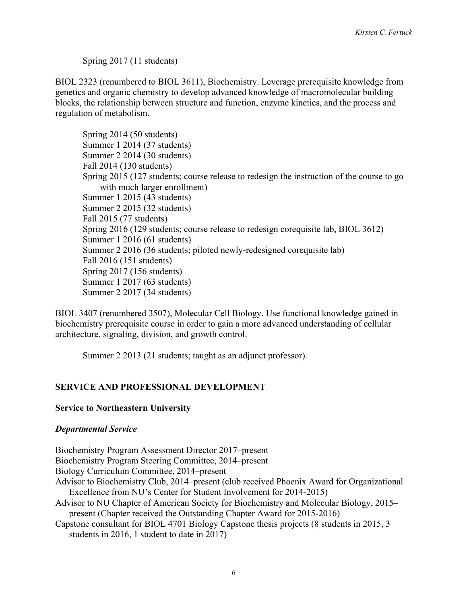Spring 2017 (11 students)

BIOL 2323 (renumbered to BIOL 3611), Biochemistry. Leverage prerequisite knowledge from genetics and organic chemistry to develop advanced knowledge of macromolecular building blocks, the relationship between structure and function, enzyme kinetics, and the process and regulation of metabolism.

Spring 2014 (50 students) Summer 1 2014 (37 students) Summer 2 2014 (30 students) Fall 2014 (130 students) Spring 2015 (127 students; course release to redesign the instruction of the course to go with much larger enrollment) Summer 1 2015 (43 students) Summer 2 2015 (32 students) Fall 2015 (77 students) Spring 2016 (129 students; course release to redesign corequisite lab, BIOL 3612) Summer 1 2016 (61 students) Summer 2 2016 (36 students; piloted newly-redesigned corequisite lab) Fall 2016 (151 students) Spring 2017 (156 students) Summer 1 2017 (63 students) Summer 2 2017 (34 students)

BIOL 3407 (renumbered 3507), Molecular Cell Biology. Use functional knowledge gained in biochemistry prerequisite course in order to gain a more advanced understanding of cellular architecture, signaling, division, and growth control.

Summer 2 2013 (21 students; taught as an adjunct professor).

### **SERVICE AND PROFESSIONAL DEVELOPMENT**

#### **Service to Northeastern University**

### *Departmental Service*

Biochemistry Program Assessment Director 2017–present Biochemistry Program Steering Committee, 2014–present Biology Curriculum Committee, 2014–present Advisor to Biochemistry Club, 2014–present (club received Phoenix Award for Organizational Excellence from NU's Center for Student Involvement for 2014-2015) Advisor to NU Chapter of American Society for Biochemistry and Molecular Biology, 2015– present (Chapter received the Outstanding Chapter Award for 2015-2016) Capstone consultant for BIOL 4701 Biology Capstone thesis projects (8 students in 2015, 3 students in 2016, 1 student to date in 2017)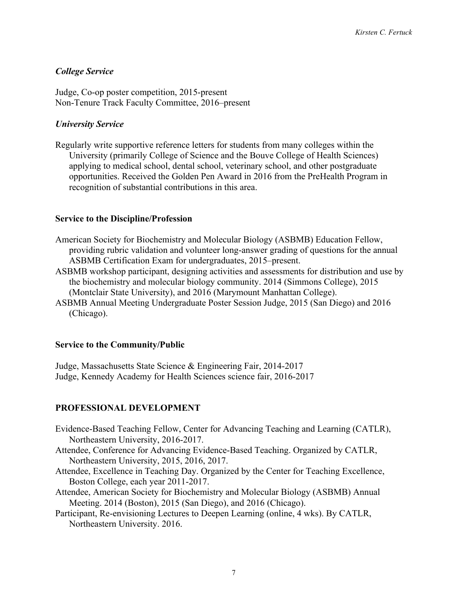## *College Service*

Judge, Co-op poster competition, 2015-present Non-Tenure Track Faculty Committee, 2016–present

## *University Service*

Regularly write supportive reference letters for students from many colleges within the University (primarily College of Science and the Bouve College of Health Sciences) applying to medical school, dental school, veterinary school, and other postgraduate opportunities. Received the Golden Pen Award in 2016 from the PreHealth Program in recognition of substantial contributions in this area.

### **Service to the Discipline/Profession**

- American Society for Biochemistry and Molecular Biology (ASBMB) Education Fellow, providing rubric validation and volunteer long-answer grading of questions for the annual ASBMB Certification Exam for undergraduates, 2015–present.
- ASBMB workshop participant, designing activities and assessments for distribution and use by the biochemistry and molecular biology community. 2014 (Simmons College), 2015 (Montclair State University), and 2016 (Marymount Manhattan College).
- ASBMB Annual Meeting Undergraduate Poster Session Judge, 2015 (San Diego) and 2016 (Chicago).

### **Service to the Community/Public**

Judge, Massachusetts State Science & Engineering Fair, 2014-2017 Judge, Kennedy Academy for Health Sciences science fair, 2016-2017

### **PROFESSIONAL DEVELOPMENT**

- Evidence-Based Teaching Fellow, Center for Advancing Teaching and Learning (CATLR), Northeastern University, 2016-2017.
- Attendee, Conference for Advancing Evidence-Based Teaching. Organized by CATLR, Northeastern University, 2015, 2016, 2017.
- Attendee, Excellence in Teaching Day. Organized by the Center for Teaching Excellence, Boston College, each year 2011-2017.
- Attendee, American Society for Biochemistry and Molecular Biology (ASBMB) Annual Meeting. 2014 (Boston), 2015 (San Diego), and 2016 (Chicago).
- Participant, Re-envisioning Lectures to Deepen Learning (online, 4 wks). By CATLR, Northeastern University. 2016.